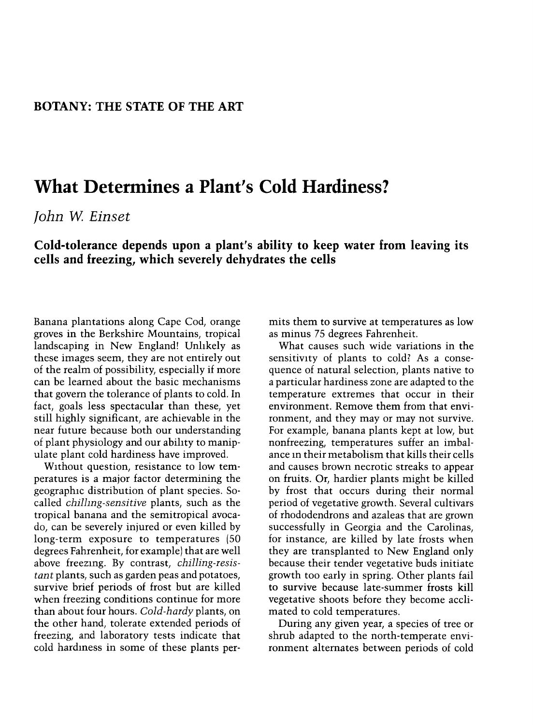## What Determines a Plant's Cold Hardiness?

John W. Einset

## Cold-tolerance depends upon a plant's ability to keep water from leaving its cells and freezing, which severely dehydrates the cells

Banana plantations along Cape Cod, orange groves in the Berkshire Mountains, tropical landscaping in New England! Unlikely as these images seem, they are not entirely out of the realm of possibility, especially if more can be learned about the basic mechanisms that govem the tolerance of plants to cold. In fact, goals less spectacular than these, yet still highly significant, are achievable in the near future because both our understanding of plant physiology and our ability to manipulate plant cold hardiness have improved.

Without question, resistance to low temperatures is a major factor determining the geographic distribution of plant species. Socalled chillmg-sensitive plants, such as the tropical banana and the semitropical avocado, can be severely injured or even killed by long-term exposure to temperatures (50 degrees Fahrenheit, for example) that are well above freezing. By contrast, chilling-resis tant plants, such as garden peas and potatoes, survive brief periods of frost but are killed when freezing conditions continue for more than about four hours. Cold-hardy plants, on the other hand, tolerate extended periods of freezing, and laboratory tests indicate that cold hardmess in some of these plants permits them to survive at temperatures as low as minus 75 degrees Fahrenheit.

What causes such wide variations in the sensitivity of plants to cold? As a consequence of natural selection, plants native to a particular hardiness zone are adapted to the temperature extremes that occur in their environment. Remove them from that environment, and they may or may not survive. For example, banana plants kept at low, but nonfreezing, temperatures suffer an imbalance in their metabolism that kills their cells and causes brown necrotic streaks to appear on fruits. Or, hardier plants might be killed by frost that occurs during their normal period of vegetative growth. Several cultivars of rhododendrons and azaleas that are grown successfully in Georgia and the Carolinas, for instance, are killed by late frosts when they are transplanted to New England only because their tender vegetative buds initiate growth too early in spring. Other plants fail to survive because late-summer frosts kill vegetative shoots before they become acclimated to cold temperatures.

During any given year, a species of tree or shrub adapted to the north-temperate environment alternates between periods of cold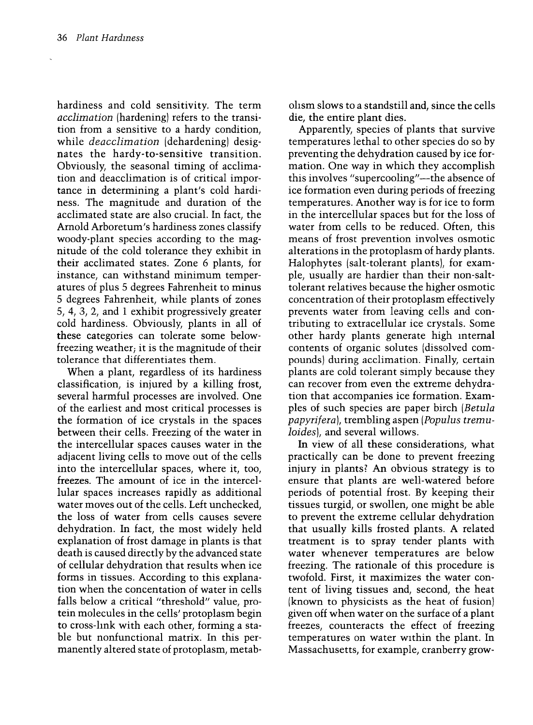hardiness and cold sensitivity. The term acclimation (hardening) refers to the transition from a sensitive to a hardy condition, while *deacclimation* (dehardening) designates the hardy-to-sensitive transition. Obviously, the seasonal timing of acclimation and deacclimation is of critical importance in determining a plant's cold hardiness. The magnitude and duration of the acclimated state are also crucial. In fact, the Arnold Arboretum's hardiness zones classify woody-plant species according to the magnitude of the cold tolerance they exhibit in their acclimated states. Zone 6 plants, for instance, can withstand minimum temper atures of plus 5 degrees Fahrenheit to minus 5 degrees Fahrenheit, while plants of zones 5, 4, 3, 2, and 1 exhibit progressively greater cold hardiness. Obviously, plants in all of these categories can tolerate some belowfreezing weather; it is the magnitude of their tolerance that differentiates them.

When a plant, regardless of its hardiness classification, is injured by a killing frost, several harmful processes are involved. One of the earliest and most critical processes is the formation of ice crystals in the spaces between their cells. Freezing of the water in the intercellular spaces causes water in the adjacent living cells to move out of the cells into the intercellular spaces, where it, too, freezes. The amount of ice in the intercellular spaces increases rapidly as additional water moves out of the cells. Left unchecked, the loss of water from cells causes severe dehydration. In fact, the most widely held explanation of frost damage in plants is that death is caused directly by the advanced state of cellular dehydration that results when ice forms in tissues. According to this explanation when the concentation of water in cells falls below a critical "threshold" value, protein molecules in the cells' protoplasm begin to cross-link with each other, forming a stable but nonfunctional matrix. In this permanently altered state of protoplasm, metabohsm slows to a standstill and, since the cells die, the entire plant dies.

Apparently, species of plants that survive temperatures lethal to other species do so by preventing the dehydration caused by ice formation. One way in which they accomplish this involves "supercooling"-the absence of ice formation even during periods of freezing temperatures. Another way is for ice to form in the intercellular spaces but for the loss of water from cells to be reduced. Often, this means of frost prevention involves osmotic alterations in the protoplasm of hardy plants. Halophytes (salt-tolerant plants), for example, usually are hardier than their non-salttolerant relatives because the higher osmotic concentration of their protoplasm effectively prevents water from leaving cells and contributing to extracellular ice crystals. Some other hardy plants generate high internal contents of organic solutes (dissolved compounds) during acclimation. Finally, certain plants are cold tolerant simply because they can recover from even the extreme dehydration that accompanies ice formation. Examples of such species are paper birch (Betula papyrifera/, trembling aspen (Populus tremuloides), and several willows.

In view of all these considerations, what practically can be done to prevent freezing injury in plants? An obvious strategy is to ensure that plants are well-watered before periods of potential frost. By keeping their tissues turgid, or swollen, one might be able to prevent the extreme cellular dehydration that usually kills frosted plants. A related treatment is to spray tender plants with water whenever temperatures are below freezing. The rationale of this procedure is twofold. First, it maximizes the water content of living tissues and, second, the heat (known to physicists as the heat of fusion) given off when water on the surface of a plant freezes, counteracts the effect of freezing temperatures on water within the plant. In Massachusetts, for example, cranberry grow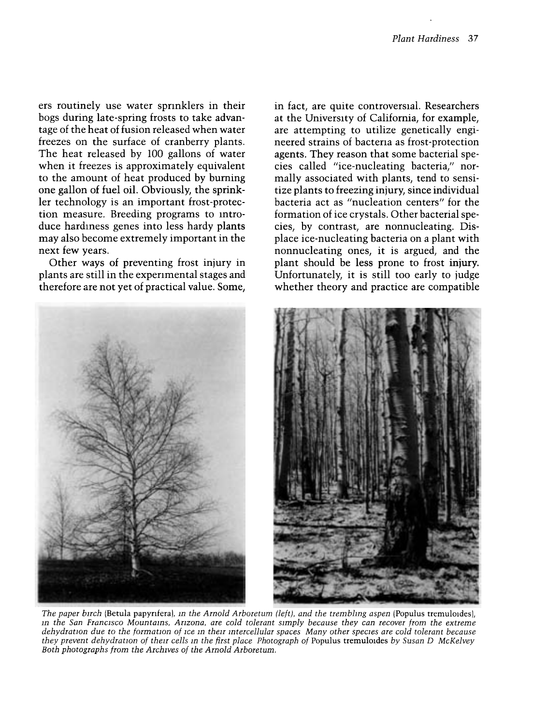ers routinely use water sprinklers in their bogs during late-spring frosts to take advantage of the heat of fusion released when water freezes on the surface of cranberry plants. The heat released by 100 gallons of water when it freezes is approximately equivalent to the amount of heat produced by burning one gallon of fuel oil. Obviously, the sprinkler technology is an important frost-protection measure. Breeding programs to introduce hardiness genes into less hardy plants may also become extremely important in the next few years.

Other ways of preventing frost injury in plants are still in the experimental stages and therefore are not yet of practical value. Some, in fact, are quite controversial. Researchers at the University of California, for example, are attempting to utilize genetically engineered strains of bacteria as frost-protection agents. They reason that some bacterial species called "ice-nucleating bacteria," normally associated with plants, tend to sensitize plants to freezing injury, since individual bacteria act as "nucleation centers" for the formation of ice crystals. Other bacterial species, by contrast, are nonnucleating. Displace ice-nucleating bacteria on a plant with nonnucleating ones, it is argued, and the plant should be less prone to frost injury. Unfortunately, it is still too early to judge whether theory and practice are compatible



they prevent dehydration of their cells m the first place Photograph of Populus tremuloides by Susan D McKelvey Both photographs from the Archives of the Arnold Arboretum.